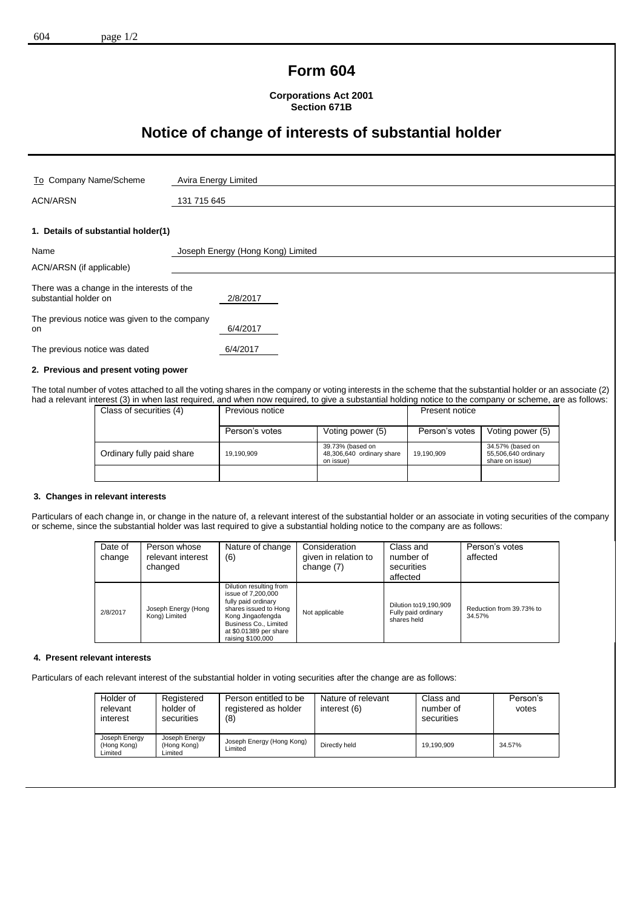## **Form 604**

**Corporations Act 2001 Section 671B**

# **Notice of change of interests of substantial holder**

| To Company Name/Scheme                                                          | Avira Energy Limited              |  |
|---------------------------------------------------------------------------------|-----------------------------------|--|
| <b>ACN/ARSN</b>                                                                 |                                   |  |
|                                                                                 | 131 715 645                       |  |
| 1. Details of substantial holder(1)                                             |                                   |  |
|                                                                                 |                                   |  |
| Name                                                                            | Joseph Energy (Hong Kong) Limited |  |
| ACN/ARSN (if applicable)                                                        |                                   |  |
| There was a change in the interests of the<br>substantial holder on<br>2/8/2017 |                                   |  |
| The previous notice was given to the company<br><b>on</b>                       | 6/4/2017                          |  |
| The previous notice was dated                                                   | 6/4/2017                          |  |
| A Boundary and conservation the conservation                                    |                                   |  |

#### **2. Previous and present voting power**

The total number of votes attached to all the voting shares in the company or voting interests in the scheme that the substantial holder or an associate (2) had a relevant interest (3) in when last required, and when now required, to give a substantial holding notice to the company or scheme, are as follows:

| Class of securities (4)   | Previous notice |                                                            | Present notice |                                                            |
|---------------------------|-----------------|------------------------------------------------------------|----------------|------------------------------------------------------------|
|                           | Person's votes  | Voting power (5)                                           | Person's votes | Voting power (5)                                           |
| Ordinary fully paid share | 19,190,909      | 39.73% (based on<br>48,306,640 ordinary share<br>on issue) | 19,190,909     | 34.57% (based on<br>55,506,640 ordinary<br>share on issue) |
|                           |                 |                                                            |                |                                                            |

#### **3. Changes in relevant interests**

Particulars of each change in, or change in the nature of, a relevant interest of the substantial holder or an associate in voting securities of the company or scheme, since the substantial holder was last required to give a substantial holding notice to the company are as follows:

| Date of<br>change | Person whose<br>relevant interest<br>changed | Nature of change<br>(6)                                                                                                                                                                    | Consideration<br>given in relation to<br>change (7) | Class and<br>number of<br>securities<br>affected               | Person's votes<br>affected         |
|-------------------|----------------------------------------------|--------------------------------------------------------------------------------------------------------------------------------------------------------------------------------------------|-----------------------------------------------------|----------------------------------------------------------------|------------------------------------|
| 2/8/2017          | Joseph Energy (Hong<br>Kong) Limited         | Dilution resulting from<br>issue of 7,200,000<br>fully paid ordinary<br>shares issued to Hong<br>Kong Jingaofengda<br>Business Co., Limited<br>at \$0.01389 per share<br>raising \$100,000 | Not applicable                                      | Dilution to 19, 190, 909<br>Fully paid ordinary<br>shares held | Reduction from 39.73% to<br>34.57% |

#### **4. Present relevant interests**

Particulars of each relevant interest of the substantial holder in voting securities after the change are as follows:

| Holder of<br>relevant<br>interest       | Registered<br>holder of<br>securities   | Person entitled to be<br>registered as holder<br>(8) | Nature of relevant<br>interest (6) | Class and<br>number of<br>securities | Person's<br>votes |
|-----------------------------------------|-----------------------------------------|------------------------------------------------------|------------------------------------|--------------------------------------|-------------------|
| Joseph Energy<br>(Hong Kong)<br>Limited | Joseph Energy<br>(Hong Kong)<br>Limited | Joseph Energy (Hong Kong)<br>Limited                 | Directly held                      | 19.190.909                           | 34.57%            |